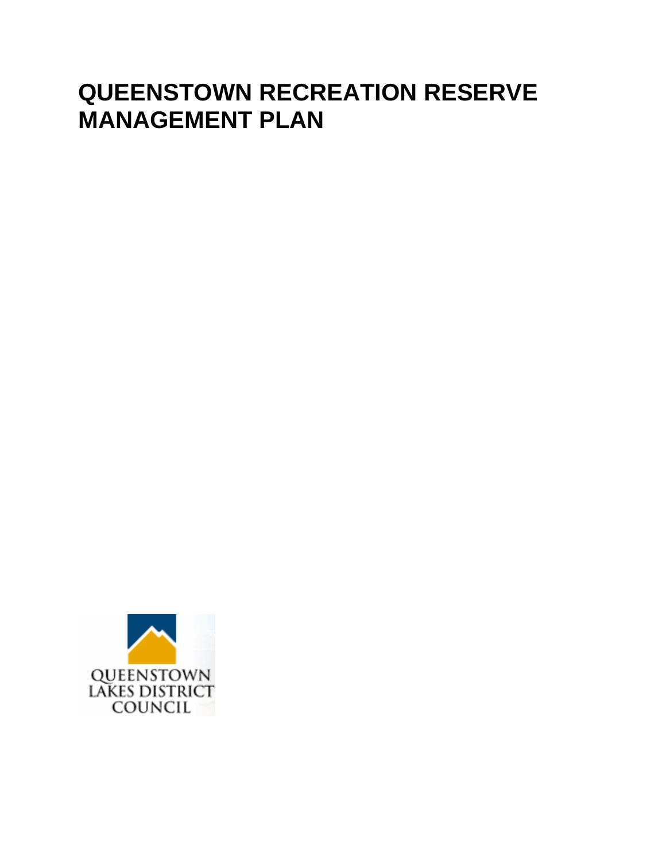# **QUEENSTOWN RECREATION RESERVE MANAGEMENT PLAN**

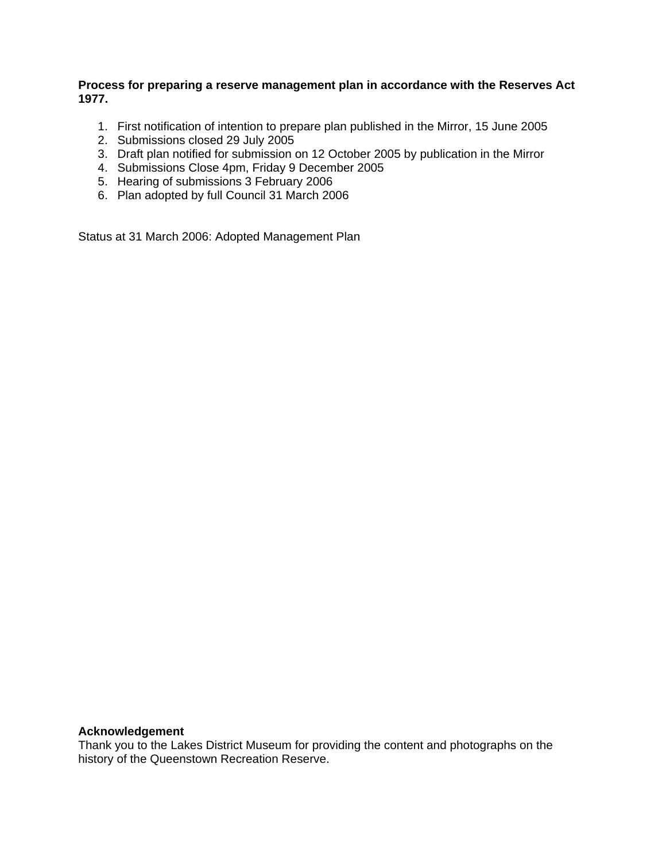#### **Process for preparing a reserve management plan in accordance with the Reserves Act 1977.**

- 1. First notification of intention to prepare plan published in the Mirror, 15 June 2005
- 2. Submissions closed 29 July 2005
- 3. Draft plan notified for submission on 12 October 2005 by publication in the Mirror
- 4. Submissions Close 4pm, Friday 9 December 2005
- 5. Hearing of submissions 3 February 2006
- 6. Plan adopted by full Council 31 March 2006

Status at 31 March 2006: Adopted Management Plan

#### **Acknowledgement**

Thank you to the Lakes District Museum for providing the content and photographs on the history of the Queenstown Recreation Reserve.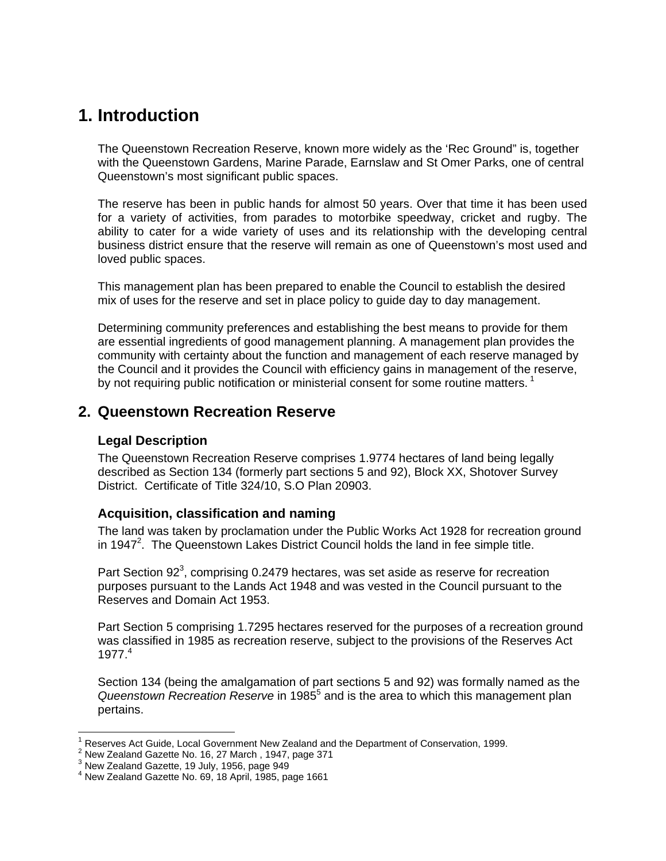# **1. Introduction**

The Queenstown Recreation Reserve, known more widely as the 'Rec Ground" is, together with the Queenstown Gardens, Marine Parade, Earnslaw and St Omer Parks, one of central Queenstown's most significant public spaces.

The reserve has been in public hands for almost 50 years. Over that time it has been used for a variety of activities, from parades to motorbike speedway, cricket and rugby. The ability to cater for a wide variety of uses and its relationship with the developing central business district ensure that the reserve will remain as one of Queenstown's most used and loved public spaces.

This management plan has been prepared to enable the Council to establish the desired mix of uses for the reserve and set in place policy to guide day to day management.

Determining community preferences and establishing the best means to provide for them are essential ingredients of good management planning. A management plan provides the community with certainty about the function and management of each reserve managed by the Council and it provides the Council with efficiency gains in management of the reserve, by not requiring public notification or ministerial consent for some routine matters.<sup>1</sup>

# **2. Queenstown Recreation Reserve**

# **Legal Description**

The Queenstown Recreation Reserve comprises 1.9774 hectares of land being legally described as Section 134 (formerly part sections 5 and 92), Block XX, Shotover Survey District. Certificate of Title 324/10, S.O Plan 20903.

# **Acquisition, classification and naming**

The land was taken by proclamation under the Public Works Act 1928 for recreation ground in 1947<sup>2</sup>. The Queenstown Lakes District Council holds the land in fee simple title.

Part Section 92<sup>3</sup>, comprising 0.2479 hectares, was set aside as reserve for recreation purposes pursuant to the Lands Act 1948 and was vested in the Council pursuant to the Reserves and Domain Act 1953.

Part Section 5 comprising 1.7295 hectares reserved for the purposes of a recreation ground was classified in 1985 as recreation reserve, subject to the provisions of the Reserves Act 1977.<sup>4</sup>

Section 134 (being the amalgamation of part sections 5 and 92) was formally named as the Queenstown Recreation Reserve in 1985<sup>5</sup> and is the area to which this management plan pertains.

<sup>1</sup> Reserves Act Guide, Local Government New Zealand and the Department of Conservation, 1999.

<sup>&</sup>lt;sup>2</sup> New Zealand Gazette No. 16, 27 March, 1947, page 371

 $3$  New Zealand Gazette, 19 July, 1956, page 949

<sup>4</sup> New Zealand Gazette No. 69, 18 April, 1985, page 1661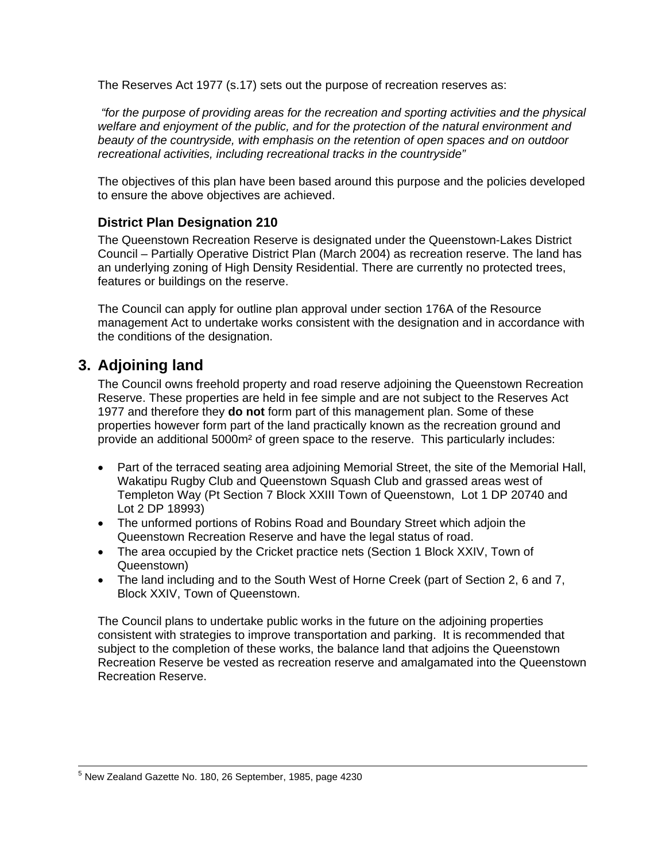The Reserves Act 1977 (s.17) sets out the purpose of recreation reserves as:

*"for the purpose of providing areas for the recreation and sporting activities and the physical welfare and enjoyment of the public, and for the protection of the natural environment and beauty of the countryside, with emphasis on the retention of open spaces and on outdoor recreational activities, including recreational tracks in the countryside"* 

The objectives of this plan have been based around this purpose and the policies developed to ensure the above objectives are achieved.

# **District Plan Designation 210**

The Queenstown Recreation Reserve is designated under the Queenstown-Lakes District Council – Partially Operative District Plan (March 2004) as recreation reserve. The land has an underlying zoning of High Density Residential. There are currently no protected trees, features or buildings on the reserve.

The Council can apply for outline plan approval under section 176A of the Resource management Act to undertake works consistent with the designation and in accordance with the conditions of the designation.

# **3. Adjoining land**

The Council owns freehold property and road reserve adjoining the Queenstown Recreation Reserve. These properties are held in fee simple and are not subject to the Reserves Act 1977 and therefore they **do not** form part of this management plan. Some of these properties however form part of the land practically known as the recreation ground and provide an additional 5000m² of green space to the reserve. This particularly includes:

- Part of the terraced seating area adjoining Memorial Street, the site of the Memorial Hall, Wakatipu Rugby Club and Queenstown Squash Club and grassed areas west of Templeton Way (Pt Section 7 Block XXIII Town of Queenstown, Lot 1 DP 20740 and Lot 2 DP 18993)
- The unformed portions of Robins Road and Boundary Street which adjoin the Queenstown Recreation Reserve and have the legal status of road.
- The area occupied by the Cricket practice nets (Section 1 Block XXIV, Town of Queenstown)
- The land including and to the South West of Horne Creek (part of Section 2, 6 and 7, Block XXIV, Town of Queenstown.

The Council plans to undertake public works in the future on the adjoining properties consistent with strategies to improve transportation and parking. It is recommended that subject to the completion of these works, the balance land that adjoins the Queenstown Recreation Reserve be vested as recreation reserve and amalgamated into the Queenstown Recreation Reserve.

 <sup>5</sup> New Zealand Gazette No. 180, 26 September, 1985, page 4230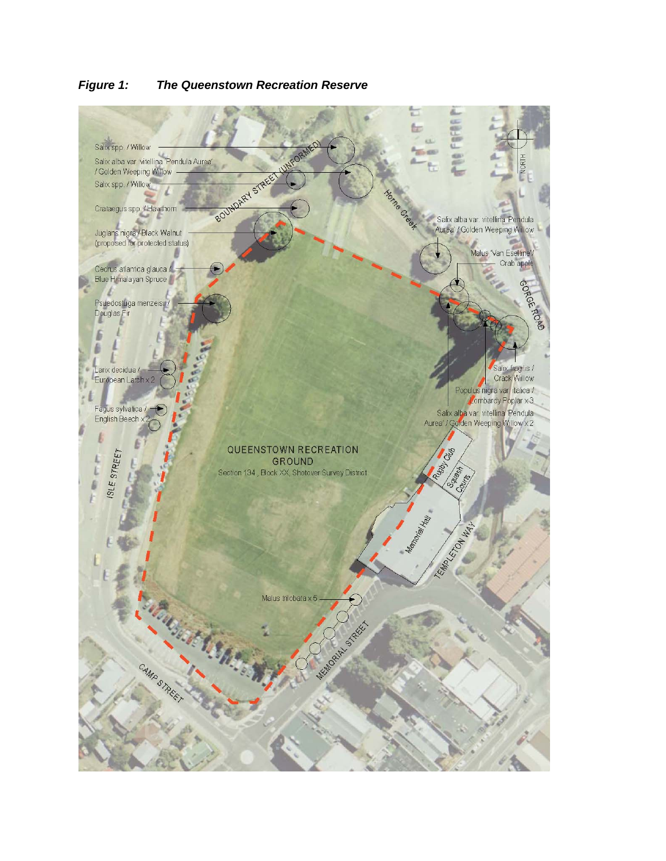

#### *Figure 1: The Queenstown Recreation Reserve*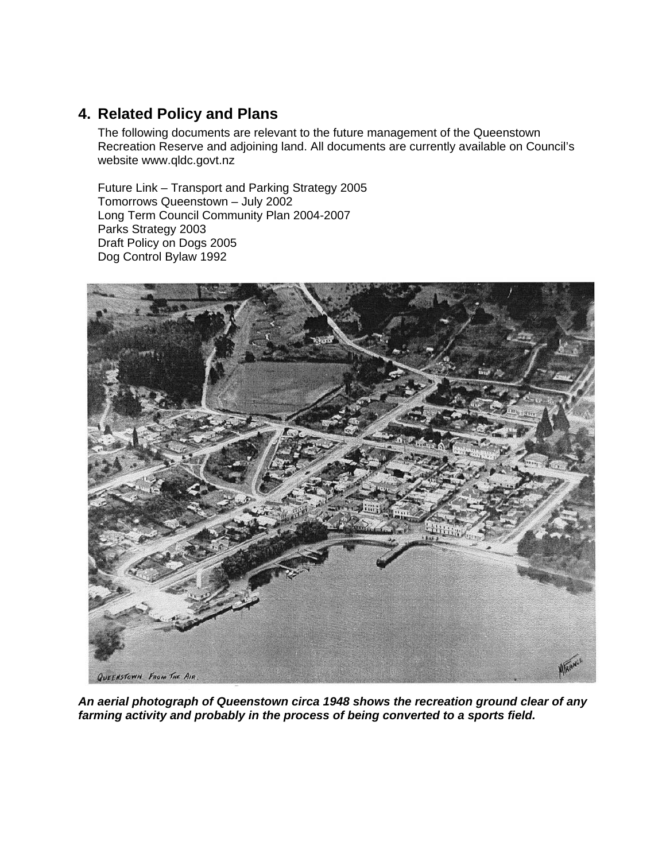# **4. Related Policy and Plans**

The following documents are relevant to the future management of the Queenstown Recreation Reserve and adjoining land. All documents are currently available on Council's website www.qldc.govt.nz

Future Link – Transport and Parking Strategy 2005 Tomorrows Queenstown – July 2002 Long Term Council Community Plan 2004-2007 Parks Strategy 2003 Draft Policy on Dogs 2005 Dog Control Bylaw 1992



*An aerial photograph of Queenstown circa 1948 shows the recreation ground clear of any farming activity and probably in the process of being converted to a sports field.*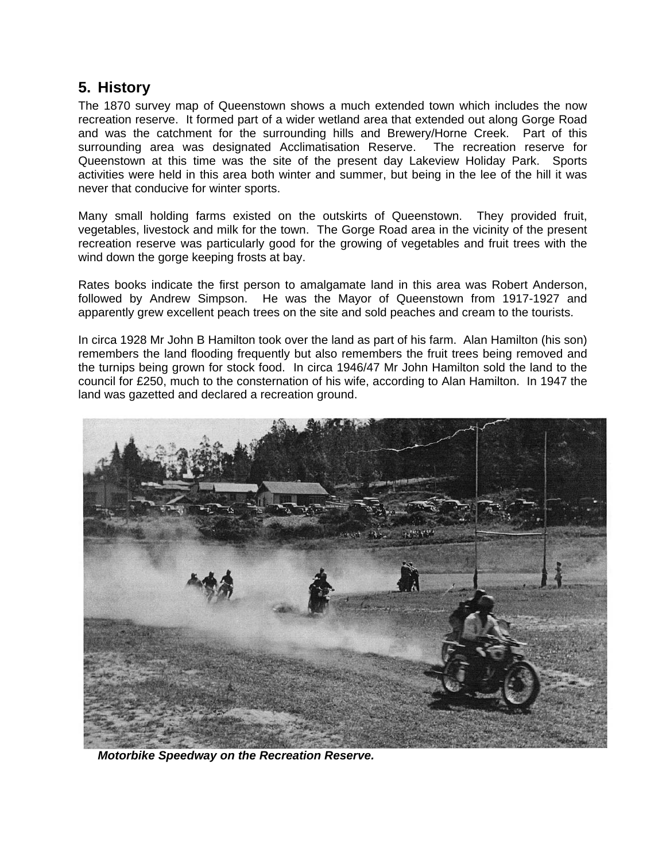# **5. History**

The 1870 survey map of Queenstown shows a much extended town which includes the now recreation reserve. It formed part of a wider wetland area that extended out along Gorge Road and was the catchment for the surrounding hills and Brewery/Horne Creek. Part of this surrounding area was designated Acclimatisation Reserve. The recreation reserve for Queenstown at this time was the site of the present day Lakeview Holiday Park. Sports activities were held in this area both winter and summer, but being in the lee of the hill it was never that conducive for winter sports.

Many small holding farms existed on the outskirts of Queenstown. They provided fruit, vegetables, livestock and milk for the town. The Gorge Road area in the vicinity of the present recreation reserve was particularly good for the growing of vegetables and fruit trees with the wind down the gorge keeping frosts at bay.

Rates books indicate the first person to amalgamate land in this area was Robert Anderson, followed by Andrew Simpson. He was the Mayor of Queenstown from 1917-1927 and apparently grew excellent peach trees on the site and sold peaches and cream to the tourists.

In circa 1928 Mr John B Hamilton took over the land as part of his farm. Alan Hamilton (his son) remembers the land flooding frequently but also remembers the fruit trees being removed and the turnips being grown for stock food. In circa 1946/47 Mr John Hamilton sold the land to the council for £250, much to the consternation of his wife, according to Alan Hamilton. In 1947 the land was gazetted and declared a recreation ground.



*Motorbike Speedway on the Recreation Reserve.*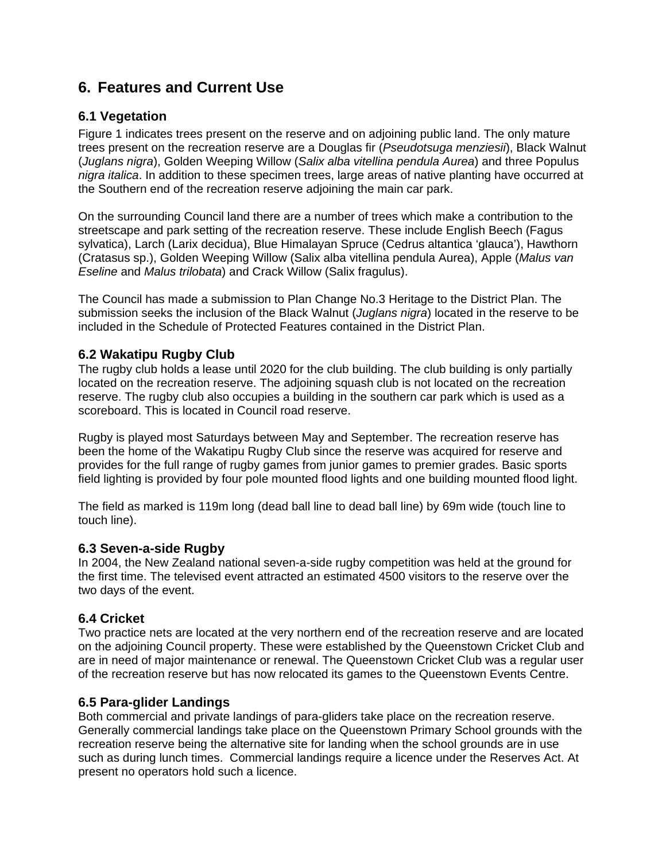# **6. Features and Current Use**

# **6.1 Vegetation**

Figure 1 indicates trees present on the reserve and on adjoining public land. The only mature trees present on the recreation reserve are a Douglas fir (*Pseudotsuga menziesii*), Black Walnut (*Juglans nigra*), Golden Weeping Willow (*Salix alba vitellina pendula Aurea*) and three Populus *nigra italica*. In addition to these specimen trees, large areas of native planting have occurred at the Southern end of the recreation reserve adjoining the main car park.

On the surrounding Council land there are a number of trees which make a contribution to the streetscape and park setting of the recreation reserve. These include English Beech (Fagus sylvatica), Larch (Larix decidua), Blue Himalayan Spruce (Cedrus altantica 'glauca'), Hawthorn (Cratasus sp.), Golden Weeping Willow (Salix alba vitellina pendula Aurea), Apple (*Malus van Eseline* and *Malus trilobata*) and Crack Willow (Salix fragulus).

The Council has made a submission to Plan Change No.3 Heritage to the District Plan. The submission seeks the inclusion of the Black Walnut (*Juglans nigra*) located in the reserve to be included in the Schedule of Protected Features contained in the District Plan.

## **6.2 Wakatipu Rugby Club**

The rugby club holds a lease until 2020 for the club building. The club building is only partially located on the recreation reserve. The adjoining squash club is not located on the recreation reserve. The rugby club also occupies a building in the southern car park which is used as a scoreboard. This is located in Council road reserve.

Rugby is played most Saturdays between May and September. The recreation reserve has been the home of the Wakatipu Rugby Club since the reserve was acquired for reserve and provides for the full range of rugby games from junior games to premier grades. Basic sports field lighting is provided by four pole mounted flood lights and one building mounted flood light.

The field as marked is 119m long (dead ball line to dead ball line) by 69m wide (touch line to touch line).

#### **6.3 Seven-a-side Rugby**

In 2004, the New Zealand national seven-a-side rugby competition was held at the ground for the first time. The televised event attracted an estimated 4500 visitors to the reserve over the two days of the event.

# **6.4 Cricket**

Two practice nets are located at the very northern end of the recreation reserve and are located on the adjoining Council property. These were established by the Queenstown Cricket Club and are in need of major maintenance or renewal. The Queenstown Cricket Club was a regular user of the recreation reserve but has now relocated its games to the Queenstown Events Centre.

#### **6.5 Para-glider Landings**

Both commercial and private landings of para-gliders take place on the recreation reserve. Generally commercial landings take place on the Queenstown Primary School grounds with the recreation reserve being the alternative site for landing when the school grounds are in use such as during lunch times. Commercial landings require a licence under the Reserves Act. At present no operators hold such a licence.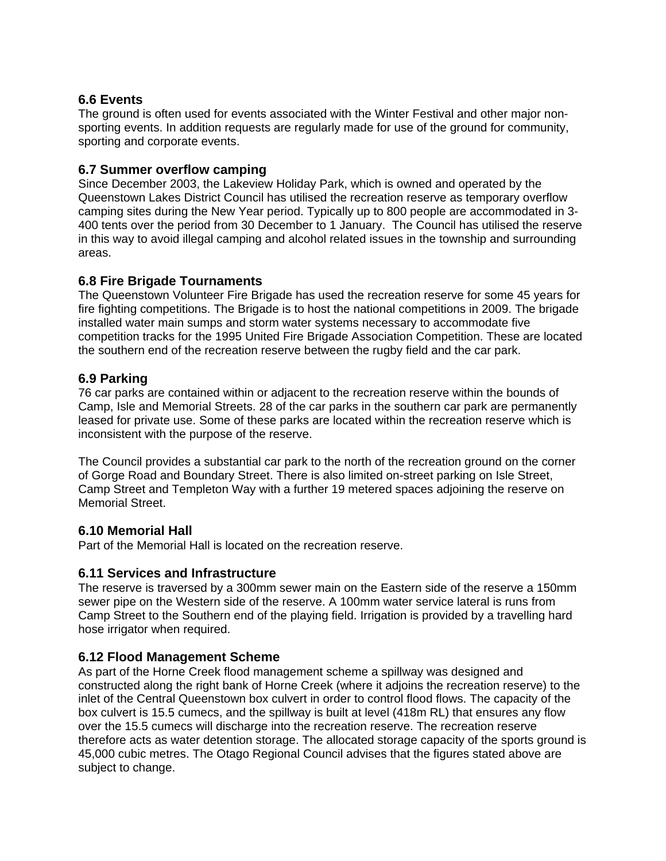# **6.6 Events**

The ground is often used for events associated with the Winter Festival and other major nonsporting events. In addition requests are regularly made for use of the ground for community, sporting and corporate events.

#### **6.7 Summer overflow camping**

Since December 2003, the Lakeview Holiday Park, which is owned and operated by the Queenstown Lakes District Council has utilised the recreation reserve as temporary overflow camping sites during the New Year period. Typically up to 800 people are accommodated in 3- 400 tents over the period from 30 December to 1 January. The Council has utilised the reserve in this way to avoid illegal camping and alcohol related issues in the township and surrounding areas.

## **6.8 Fire Brigade Tournaments**

The Queenstown Volunteer Fire Brigade has used the recreation reserve for some 45 years for fire fighting competitions. The Brigade is to host the national competitions in 2009. The brigade installed water main sumps and storm water systems necessary to accommodate five competition tracks for the 1995 United Fire Brigade Association Competition. These are located the southern end of the recreation reserve between the rugby field and the car park.

## **6.9 Parking**

76 car parks are contained within or adjacent to the recreation reserve within the bounds of Camp, Isle and Memorial Streets. 28 of the car parks in the southern car park are permanently leased for private use. Some of these parks are located within the recreation reserve which is inconsistent with the purpose of the reserve.

The Council provides a substantial car park to the north of the recreation ground on the corner of Gorge Road and Boundary Street. There is also limited on-street parking on Isle Street, Camp Street and Templeton Way with a further 19 metered spaces adjoining the reserve on Memorial Street.

#### **6.10 Memorial Hall**

Part of the Memorial Hall is located on the recreation reserve.

#### **6.11 Services and Infrastructure**

The reserve is traversed by a 300mm sewer main on the Eastern side of the reserve a 150mm sewer pipe on the Western side of the reserve. A 100mm water service lateral is runs from Camp Street to the Southern end of the playing field. Irrigation is provided by a travelling hard hose irrigator when required.

# **6.12 Flood Management Scheme**

As part of the Horne Creek flood management scheme a spillway was designed and constructed along the right bank of Horne Creek (where it adjoins the recreation reserve) to the inlet of the Central Queenstown box culvert in order to control flood flows. The capacity of the box culvert is 15.5 cumecs, and the spillway is built at level (418m RL) that ensures any flow over the 15.5 cumecs will discharge into the recreation reserve. The recreation reserve therefore acts as water detention storage. The allocated storage capacity of the sports ground is 45,000 cubic metres. The Otago Regional Council advises that the figures stated above are subject to change.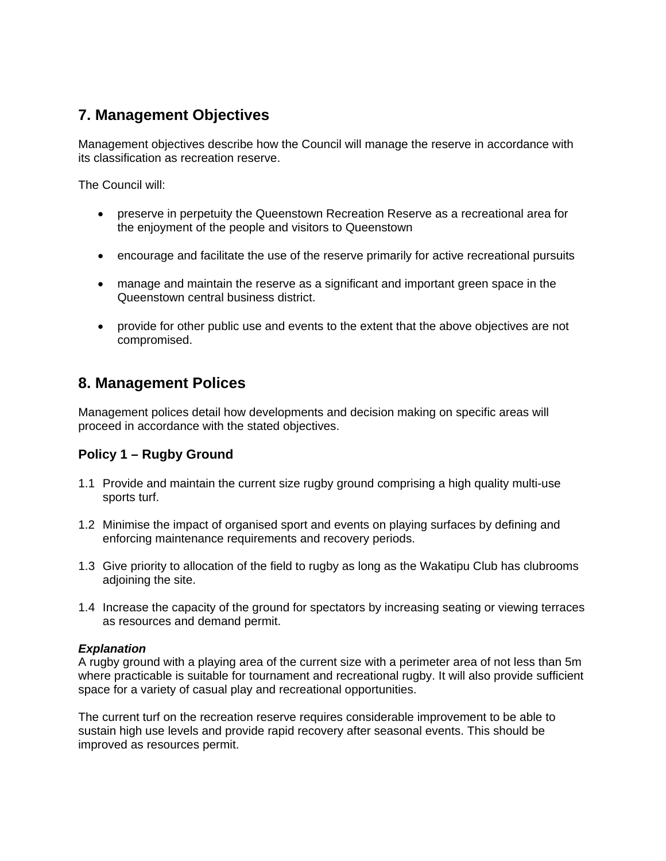# **7. Management Objectives**

Management objectives describe how the Council will manage the reserve in accordance with its classification as recreation reserve.

The Council will:

- preserve in perpetuity the Queenstown Recreation Reserve as a recreational area for the enjoyment of the people and visitors to Queenstown
- encourage and facilitate the use of the reserve primarily for active recreational pursuits
- manage and maintain the reserve as a significant and important green space in the Queenstown central business district.
- provide for other public use and events to the extent that the above objectives are not compromised.

# **8. Management Polices**

Management polices detail how developments and decision making on specific areas will proceed in accordance with the stated objectives.

# **Policy 1 – Rugby Ground**

- 1.1 Provide and maintain the current size rugby ground comprising a high quality multi-use sports turf.
- 1.2 Minimise the impact of organised sport and events on playing surfaces by defining and enforcing maintenance requirements and recovery periods.
- 1.3 Give priority to allocation of the field to rugby as long as the Wakatipu Club has clubrooms adjoining the site.
- 1.4 Increase the capacity of the ground for spectators by increasing seating or viewing terraces as resources and demand permit.

#### *Explanation*

A rugby ground with a playing area of the current size with a perimeter area of not less than 5m where practicable is suitable for tournament and recreational rugby. It will also provide sufficient space for a variety of casual play and recreational opportunities.

The current turf on the recreation reserve requires considerable improvement to be able to sustain high use levels and provide rapid recovery after seasonal events. This should be improved as resources permit.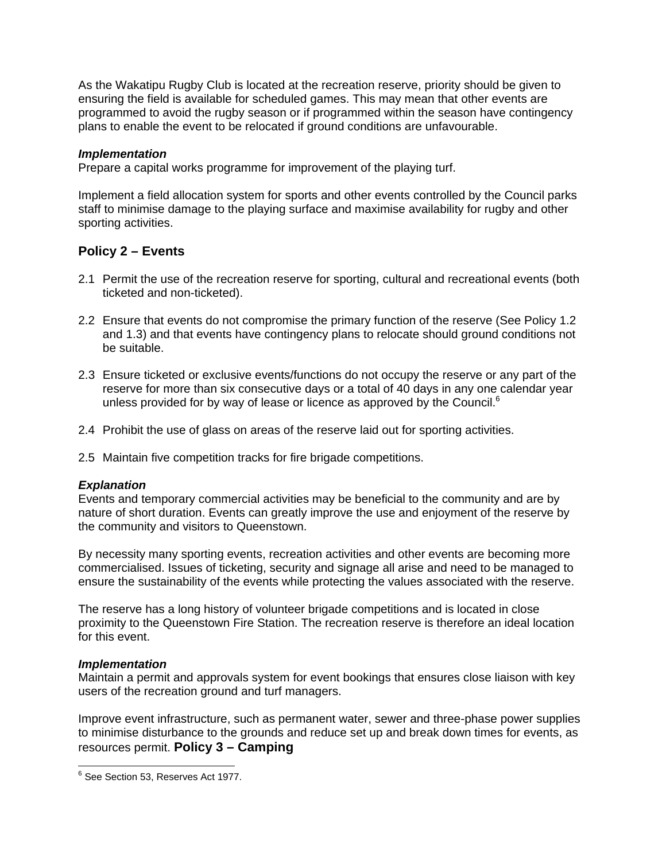As the Wakatipu Rugby Club is located at the recreation reserve, priority should be given to ensuring the field is available for scheduled games. This may mean that other events are programmed to avoid the rugby season or if programmed within the season have contingency plans to enable the event to be relocated if ground conditions are unfavourable.

#### *Implementation*

Prepare a capital works programme for improvement of the playing turf.

Implement a field allocation system for sports and other events controlled by the Council parks staff to minimise damage to the playing surface and maximise availability for rugby and other sporting activities.

# **Policy 2 – Events**

- 2.1 Permit the use of the recreation reserve for sporting, cultural and recreational events (both ticketed and non-ticketed).
- 2.2 Ensure that events do not compromise the primary function of the reserve (See Policy 1.2 and 1.3) and that events have contingency plans to relocate should ground conditions not be suitable.
- 2.3 Ensure ticketed or exclusive events/functions do not occupy the reserve or any part of the reserve for more than six consecutive days or a total of 40 days in any one calendar year unless provided for by way of lease or licence as approved by the Council. $<sup>6</sup>$ </sup>
- 2.4 Prohibit the use of glass on areas of the reserve laid out for sporting activities.
- 2.5 Maintain five competition tracks for fire brigade competitions.

#### *Explanation*

Events and temporary commercial activities may be beneficial to the community and are by nature of short duration. Events can greatly improve the use and enjoyment of the reserve by the community and visitors to Queenstown.

By necessity many sporting events, recreation activities and other events are becoming more commercialised. Issues of ticketing, security and signage all arise and need to be managed to ensure the sustainability of the events while protecting the values associated with the reserve.

The reserve has a long history of volunteer brigade competitions and is located in close proximity to the Queenstown Fire Station. The recreation reserve is therefore an ideal location for this event.

#### *Implementation*

Maintain a permit and approvals system for event bookings that ensures close liaison with key users of the recreation ground and turf managers.

Improve event infrastructure, such as permanent water, sewer and three-phase power supplies to minimise disturbance to the grounds and reduce set up and break down times for events, as resources permit. **Policy 3 – Camping** 

 6 See Section 53, Reserves Act 1977.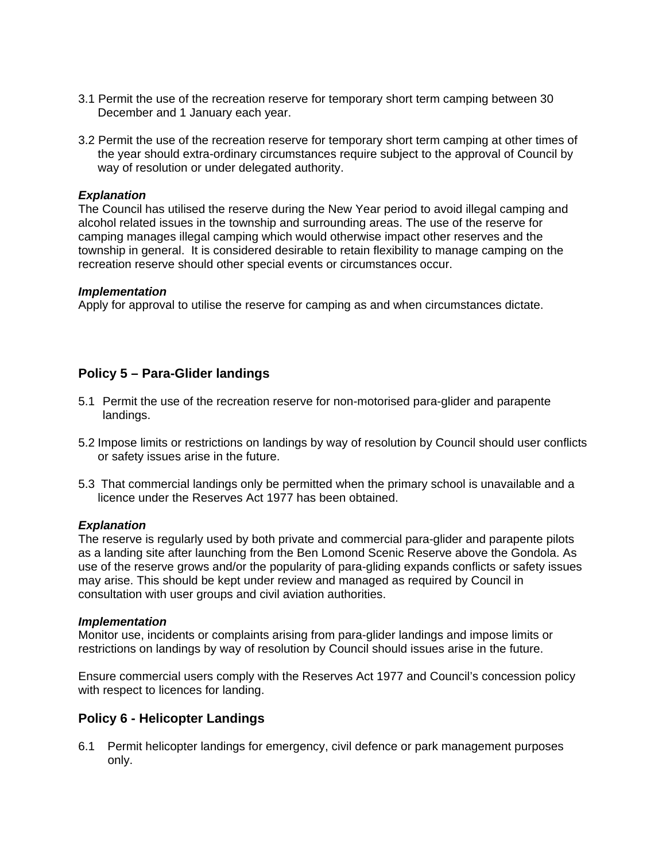- 3.1 Permit the use of the recreation reserve for temporary short term camping between 30 December and 1 January each year.
- 3.2 Permit the use of the recreation reserve for temporary short term camping at other times of the year should extra-ordinary circumstances require subject to the approval of Council by way of resolution or under delegated authority.

#### *Explanation*

The Council has utilised the reserve during the New Year period to avoid illegal camping and alcohol related issues in the township and surrounding areas. The use of the reserve for camping manages illegal camping which would otherwise impact other reserves and the township in general. It is considered desirable to retain flexibility to manage camping on the recreation reserve should other special events or circumstances occur.

#### *Implementation*

Apply for approval to utilise the reserve for camping as and when circumstances dictate.

# **Policy 5 – Para-Glider landings**

- 5.1 Permit the use of the recreation reserve for non-motorised para-glider and parapente landings.
- 5.2 Impose limits or restrictions on landings by way of resolution by Council should user conflicts or safety issues arise in the future.
- 5.3 That commercial landings only be permitted when the primary school is unavailable and a licence under the Reserves Act 1977 has been obtained.

#### *Explanation*

The reserve is regularly used by both private and commercial para-glider and parapente pilots as a landing site after launching from the Ben Lomond Scenic Reserve above the Gondola. As use of the reserve grows and/or the popularity of para-gliding expands conflicts or safety issues may arise. This should be kept under review and managed as required by Council in consultation with user groups and civil aviation authorities.

#### *Implementation*

Monitor use, incidents or complaints arising from para-glider landings and impose limits or restrictions on landings by way of resolution by Council should issues arise in the future.

Ensure commercial users comply with the Reserves Act 1977 and Council's concession policy with respect to licences for landing.

# **Policy 6 - Helicopter Landings**

6.1 Permit helicopter landings for emergency, civil defence or park management purposes only.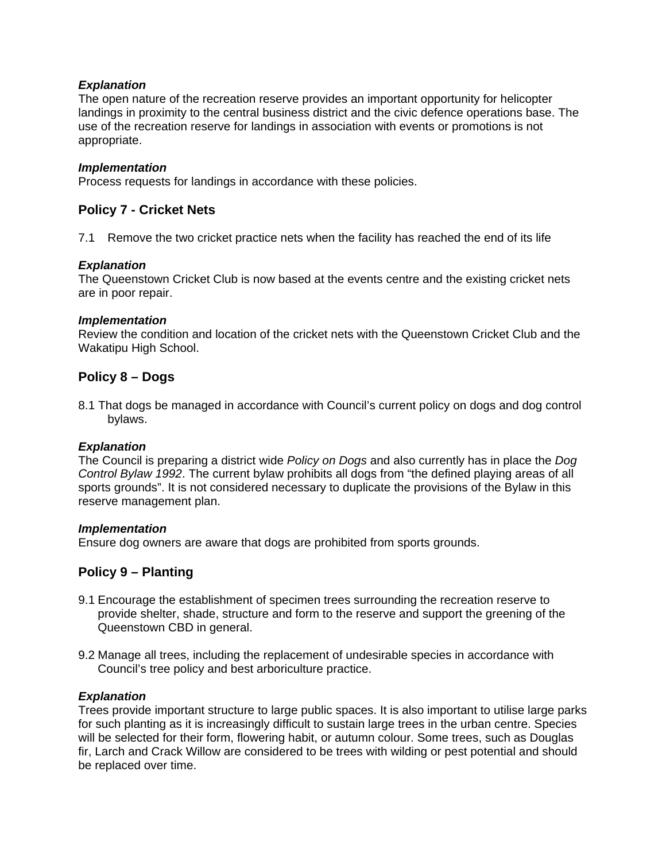#### *Explanation*

The open nature of the recreation reserve provides an important opportunity for helicopter landings in proximity to the central business district and the civic defence operations base. The use of the recreation reserve for landings in association with events or promotions is not appropriate.

#### *Implementation*

Process requests for landings in accordance with these policies.

#### **Policy 7 - Cricket Nets**

7.1 Remove the two cricket practice nets when the facility has reached the end of its life

#### *Explanation*

The Queenstown Cricket Club is now based at the events centre and the existing cricket nets are in poor repair.

#### *Implementation*

Review the condition and location of the cricket nets with the Queenstown Cricket Club and the Wakatipu High School.

## **Policy 8 – Dogs**

8.1 That dogs be managed in accordance with Council's current policy on dogs and dog control bylaws.

#### *Explanation*

The Council is preparing a district wide *Policy on Dogs* and also currently has in place the *Dog Control Bylaw 1992*. The current bylaw prohibits all dogs from "the defined playing areas of all sports grounds". It is not considered necessary to duplicate the provisions of the Bylaw in this reserve management plan.

#### *Implementation*

Ensure dog owners are aware that dogs are prohibited from sports grounds.

# **Policy 9 – Planting**

- 9.1 Encourage the establishment of specimen trees surrounding the recreation reserve to provide shelter, shade, structure and form to the reserve and support the greening of the Queenstown CBD in general.
- 9.2 Manage all trees, including the replacement of undesirable species in accordance with Council's tree policy and best arboriculture practice.

#### *Explanation*

Trees provide important structure to large public spaces. It is also important to utilise large parks for such planting as it is increasingly difficult to sustain large trees in the urban centre. Species will be selected for their form, flowering habit, or autumn colour. Some trees, such as Douglas fir, Larch and Crack Willow are considered to be trees with wilding or pest potential and should be replaced over time.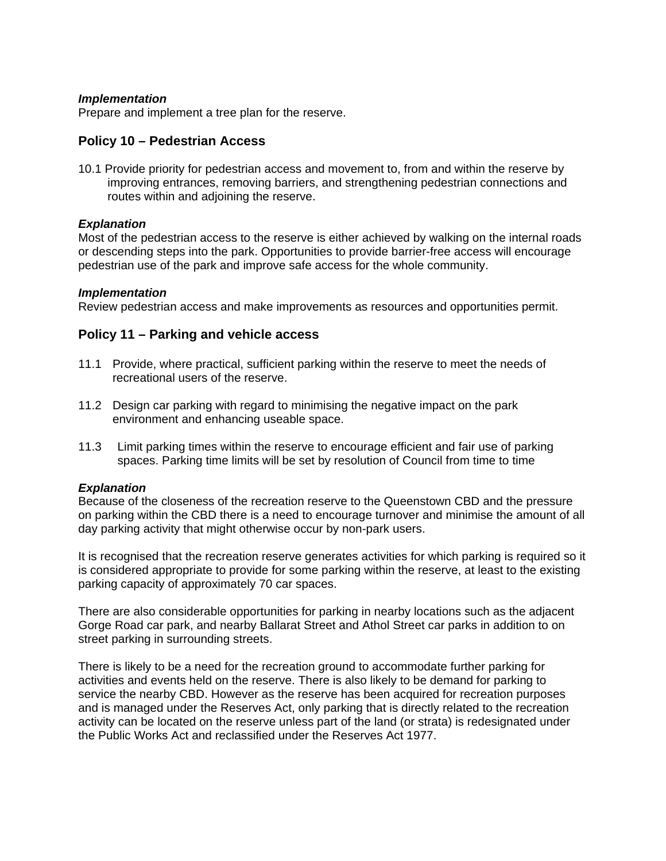#### *Implementation*

Prepare and implement a tree plan for the reserve.

## **Policy 10 – Pedestrian Access**

10.1 Provide priority for pedestrian access and movement to, from and within the reserve by improving entrances, removing barriers, and strengthening pedestrian connections and routes within and adjoining the reserve.

#### *Explanation*

Most of the pedestrian access to the reserve is either achieved by walking on the internal roads or descending steps into the park. Opportunities to provide barrier-free access will encourage pedestrian use of the park and improve safe access for the whole community.

#### *Implementation*

Review pedestrian access and make improvements as resources and opportunities permit.

## **Policy 11 – Parking and vehicle access**

- 11.1 Provide, where practical, sufficient parking within the reserve to meet the needs of recreational users of the reserve.
- 11.2 Design car parking with regard to minimising the negative impact on the park environment and enhancing useable space.
- 11.3 Limit parking times within the reserve to encourage efficient and fair use of parking spaces. Parking time limits will be set by resolution of Council from time to time

#### *Explanation*

Because of the closeness of the recreation reserve to the Queenstown CBD and the pressure on parking within the CBD there is a need to encourage turnover and minimise the amount of all day parking activity that might otherwise occur by non-park users.

It is recognised that the recreation reserve generates activities for which parking is required so it is considered appropriate to provide for some parking within the reserve, at least to the existing parking capacity of approximately 70 car spaces.

There are also considerable opportunities for parking in nearby locations such as the adjacent Gorge Road car park, and nearby Ballarat Street and Athol Street car parks in addition to on street parking in surrounding streets.

There is likely to be a need for the recreation ground to accommodate further parking for activities and events held on the reserve. There is also likely to be demand for parking to service the nearby CBD. However as the reserve has been acquired for recreation purposes and is managed under the Reserves Act, only parking that is directly related to the recreation activity can be located on the reserve unless part of the land (or strata) is redesignated under the Public Works Act and reclassified under the Reserves Act 1977.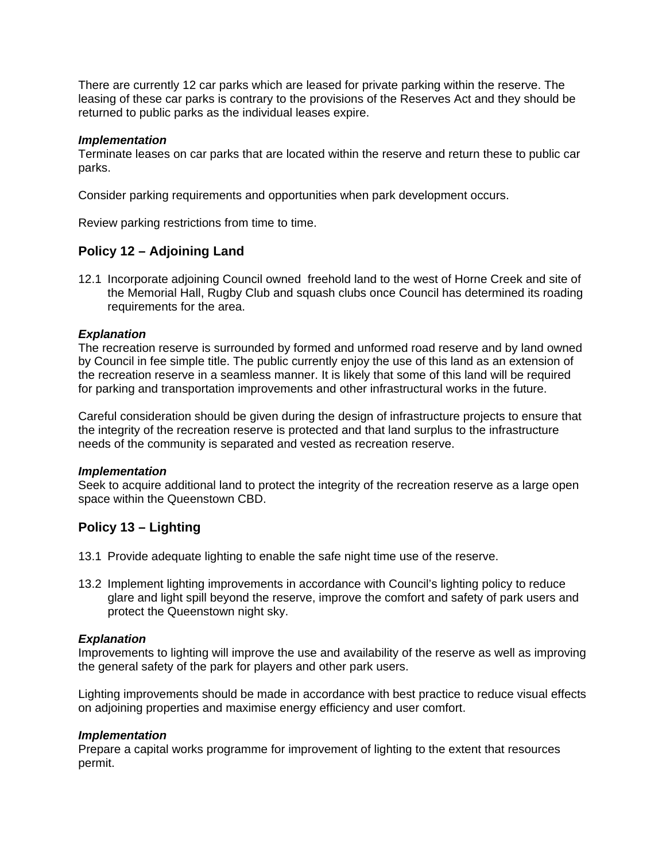There are currently 12 car parks which are leased for private parking within the reserve. The leasing of these car parks is contrary to the provisions of the Reserves Act and they should be returned to public parks as the individual leases expire.

#### *Implementation*

Terminate leases on car parks that are located within the reserve and return these to public car parks.

Consider parking requirements and opportunities when park development occurs.

Review parking restrictions from time to time.

# **Policy 12 – Adjoining Land**

12.1 Incorporate adjoining Council owned freehold land to the west of Horne Creek and site of the Memorial Hall, Rugby Club and squash clubs once Council has determined its roading requirements for the area.

#### *Explanation*

The recreation reserve is surrounded by formed and unformed road reserve and by land owned by Council in fee simple title. The public currently enjoy the use of this land as an extension of the recreation reserve in a seamless manner. It is likely that some of this land will be required for parking and transportation improvements and other infrastructural works in the future.

Careful consideration should be given during the design of infrastructure projects to ensure that the integrity of the recreation reserve is protected and that land surplus to the infrastructure needs of the community is separated and vested as recreation reserve.

#### *Implementation*

Seek to acquire additional land to protect the integrity of the recreation reserve as a large open space within the Queenstown CBD.

# **Policy 13 – Lighting**

- 13.1 Provide adequate lighting to enable the safe night time use of the reserve.
- 13.2 Implement lighting improvements in accordance with Council's lighting policy to reduce glare and light spill beyond the reserve, improve the comfort and safety of park users and protect the Queenstown night sky.

#### *Explanation*

Improvements to lighting will improve the use and availability of the reserve as well as improving the general safety of the park for players and other park users.

Lighting improvements should be made in accordance with best practice to reduce visual effects on adjoining properties and maximise energy efficiency and user comfort.

#### *Implementation*

Prepare a capital works programme for improvement of lighting to the extent that resources permit.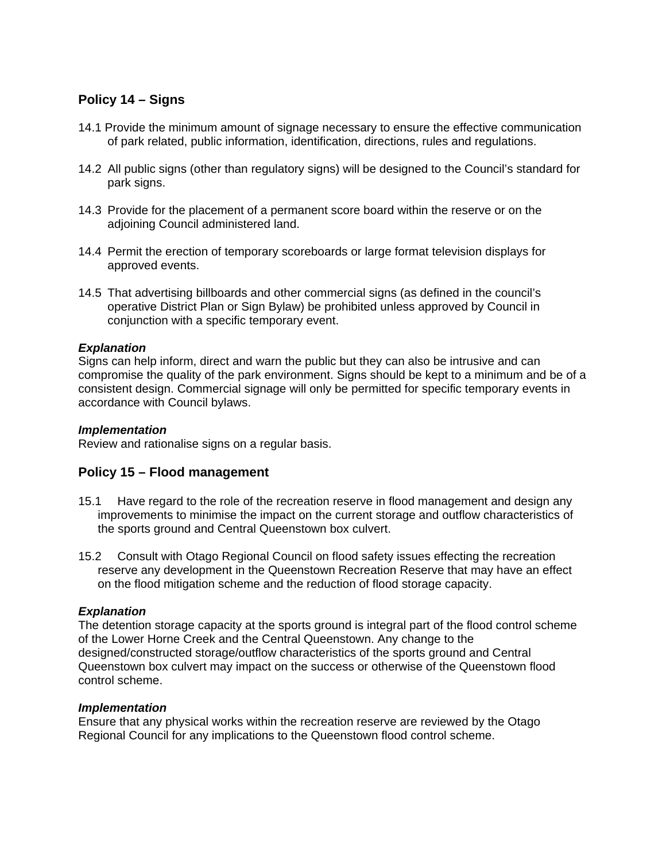# **Policy 14 – Signs**

- 14.1 Provide the minimum amount of signage necessary to ensure the effective communication of park related, public information, identification, directions, rules and regulations.
- 14.2 All public signs (other than regulatory signs) will be designed to the Council's standard for park signs.
- 14.3 Provide for the placement of a permanent score board within the reserve or on the adjoining Council administered land.
- 14.4 Permit the erection of temporary scoreboards or large format television displays for approved events.
- 14.5 That advertising billboards and other commercial signs (as defined in the council's operative District Plan or Sign Bylaw) be prohibited unless approved by Council in conjunction with a specific temporary event.

#### *Explanation*

Signs can help inform, direct and warn the public but they can also be intrusive and can compromise the quality of the park environment. Signs should be kept to a minimum and be of a consistent design. Commercial signage will only be permitted for specific temporary events in accordance with Council bylaws.

#### *Implementation*

Review and rationalise signs on a regular basis.

#### **Policy 15 – Flood management**

- 15.1 Have regard to the role of the recreation reserve in flood management and design any improvements to minimise the impact on the current storage and outflow characteristics of the sports ground and Central Queenstown box culvert.
- 15.2 Consult with Otago Regional Council on flood safety issues effecting the recreation reserve any development in the Queenstown Recreation Reserve that may have an effect on the flood mitigation scheme and the reduction of flood storage capacity.

#### *Explanation*

The detention storage capacity at the sports ground is integral part of the flood control scheme of the Lower Horne Creek and the Central Queenstown. Any change to the designed/constructed storage/outflow characteristics of the sports ground and Central Queenstown box culvert may impact on the success or otherwise of the Queenstown flood control scheme.

#### *Implementation*

Ensure that any physical works within the recreation reserve are reviewed by the Otago Regional Council for any implications to the Queenstown flood control scheme.